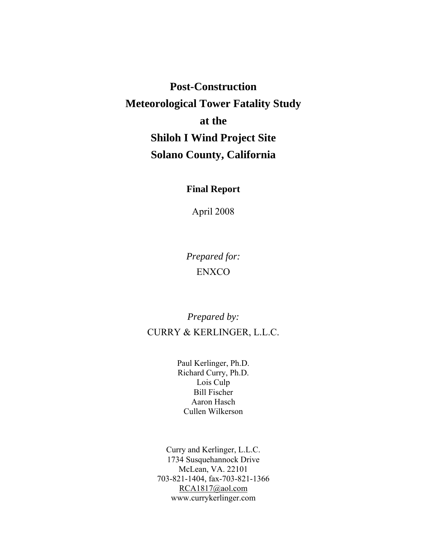**Post-Construction Meteorological Tower Fatality Study at the Shiloh I Wind Project Site Solano County, California** 

# **Final Report**

April 2008

*Prepared for:*  ENXCO

*Prepared by:*  CURRY & KERLINGER, L.L.C.

> Paul Kerlinger, Ph.D. Richard Curry, Ph.D. Lois Culp Bill Fischer Aaron Hasch Cullen Wilkerson

Curry and Kerlinger, L.L.C. 1734 Susquehannock Drive McLean, VA. 22101 703-821-1404, fax-703-821-1366 [RCA1817@aol.com](mailto:RCA1817@aol.com) www.currykerlinger.com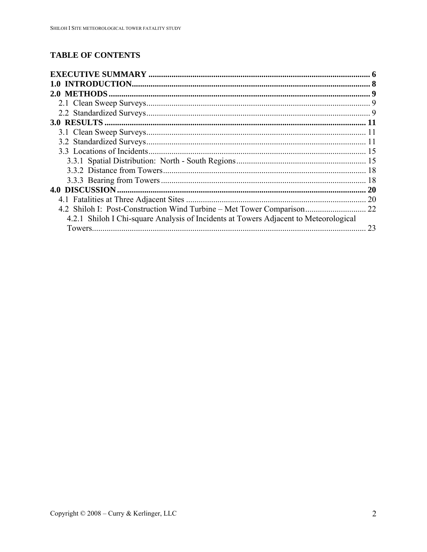# **TABLE OF CONTENTS**

| 4.2.1 Shiloh I Chi-square Analysis of Incidents at Towers Adjacent to Meteorological |    |
|--------------------------------------------------------------------------------------|----|
|                                                                                      | 23 |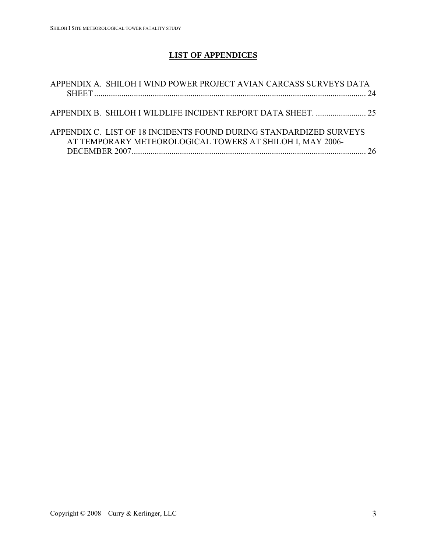# **LIST OF APPENDICES**

| APPENDIX A. SHILOH I WIND POWER PROJECT AVIAN CARCASS SURVEYS DATA                                                              | -24 |
|---------------------------------------------------------------------------------------------------------------------------------|-----|
|                                                                                                                                 |     |
| APPENDIX C. LIST OF 18 INCIDENTS FOUND DURING STANDARDIZED SURVEYS<br>AT TEMPORARY METEOROLOGICAL TOWERS AT SHILOH I, MAY 2006- | 26  |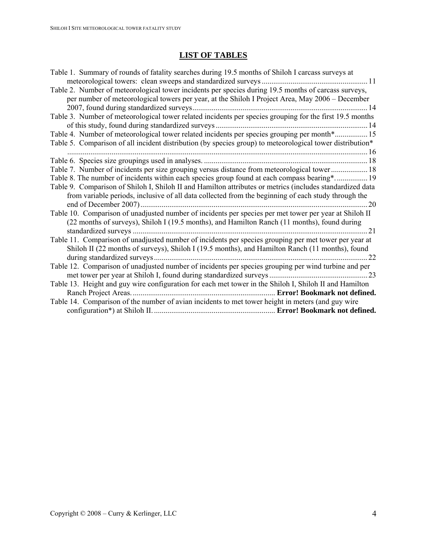# **LIST OF TABLES**

| Table 1. Summary of rounds of fatality searches during 19.5 months of Shiloh I carcass surveys at         |      |
|-----------------------------------------------------------------------------------------------------------|------|
|                                                                                                           |      |
| Table 2. Number of meteorological tower incidents per species during 19.5 months of carcass surveys,      |      |
| per number of meteorological towers per year, at the Shiloh I Project Area, May 2006 – December           |      |
|                                                                                                           |      |
| Table 3. Number of meteorological tower related incidents per species grouping for the first 19.5 months  |      |
|                                                                                                           |      |
| Table 4. Number of meteorological tower related incidents per species grouping per month* 15              |      |
| Table 5. Comparison of all incident distribution (by species group) to meteorological tower distribution* |      |
|                                                                                                           |      |
|                                                                                                           |      |
| Table 7. Number of incidents per size grouping versus distance from meteorological tower 18               |      |
| Table 8. The number of incidents within each species group found at each compass bearing* 19              |      |
| Table 9. Comparison of Shiloh I, Shiloh II and Hamilton attributes or metrics (includes standardized data |      |
| from variable periods, inclusive of all data collected from the beginning of each study through the       |      |
|                                                                                                           |      |
| Table 10. Comparison of unadjusted number of incidents per species per met tower per year at Shiloh II    |      |
| (22 months of surveys), Shiloh I (19.5 months), and Hamilton Ranch (11 months), found during              |      |
|                                                                                                           |      |
| Table 11. Comparison of unadjusted number of incidents per species grouping per met tower per year at     |      |
| Shiloh II (22 months of surveys), Shiloh I (19.5 months), and Hamilton Ranch (11 months), found           |      |
|                                                                                                           | . 22 |
| Table 12. Comparison of unadjusted number of incidents per species grouping per wind turbine and per      |      |
|                                                                                                           |      |
| Table 13. Height and guy wire configuration for each met tower in the Shiloh I, Shiloh II and Hamilton    |      |
|                                                                                                           |      |
| Table 14. Comparison of the number of avian incidents to met tower height in meters (and guy wire         |      |
|                                                                                                           |      |
|                                                                                                           |      |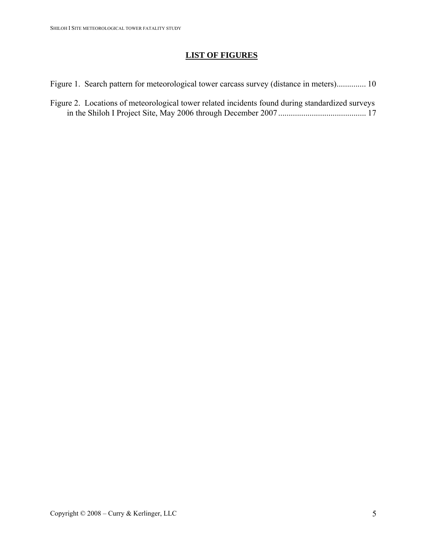# **LIST OF FIGURES**

[Figure 1. Search pattern for meteorological tower carcass survey \(distance in meters\)..............](#page-9-0) 10

[Figure 2. Locations of meteorological tower related incidents found during standardized surveys](#page-16-0)  [in the Shiloh I Project Site, May 2006 through December 2007..........................................](#page-16-0) 17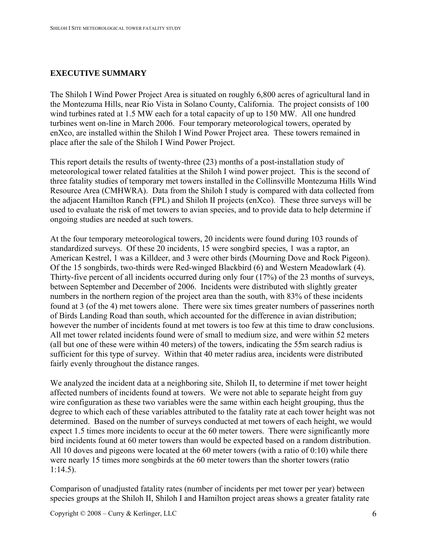# <span id="page-5-0"></span>**EXECUTIVE SUMMARY**

The Shiloh I Wind Power Project Area is situated on roughly 6,800 acres of agricultural land in the Montezuma Hills, near Rio Vista in Solano County, California. The project consists of 100 wind turbines rated at 1.5 MW each for a total capacity of up to 150 MW. All one hundred turbines went on-line in March 2006. Four temporary meteorological towers, operated by enXco, are installed within the Shiloh I Wind Power Project area. These towers remained in place after the sale of the Shiloh I Wind Power Project.

This report details the results of twenty-three (23) months of a post-installation study of meteorological tower related fatalities at the Shiloh I wind power project. This is the second of three fatality studies of temporary met towers installed in the Collinsville Montezuma Hills Wind Resource Area (CMHWRA). Data from the Shiloh I study is compared with data collected from the adjacent Hamilton Ranch (FPL) and Shiloh II projects (enXco). These three surveys will be used to evaluate the risk of met towers to avian species, and to provide data to help determine if ongoing studies are needed at such towers.

At the four temporary meteorological towers, 20 incidents were found during 103 rounds of standardized surveys. Of these 20 incidents, 15 were songbird species, 1 was a raptor, an American Kestrel, 1 was a Killdeer, and 3 were other birds (Mourning Dove and Rock Pigeon). Of the 15 songbirds, two-thirds were Red-winged Blackbird (6) and Western Meadowlark (4). Thirty-five percent of all incidents occurred during only four (17%) of the 23 months of surveys, between September and December of 2006. Incidents were distributed with slightly greater numbers in the northern region of the project area than the south, with 83% of these incidents found at 3 (of the 4) met towers alone. There were six times greater numbers of passerines north of Birds Landing Road than south, which accounted for the difference in avian distribution; however the number of incidents found at met towers is too few at this time to draw conclusions. All met tower related incidents found were of small to medium size, and were within 52 meters (all but one of these were within 40 meters) of the towers, indicating the 55m search radius is sufficient for this type of survey. Within that 40 meter radius area, incidents were distributed fairly evenly throughout the distance ranges.

We analyzed the incident data at a neighboring site, Shiloh II, to determine if met tower height affected numbers of incidents found at towers. We were not able to separate height from guy wire configuration as these two variables were the same within each height grouping, thus the degree to which each of these variables attributed to the fatality rate at each tower height was not determined. Based on the number of surveys conducted at met towers of each height, we would expect 1.5 times more incidents to occur at the 60 meter towers. There were significantly more bird incidents found at 60 meter towers than would be expected based on a random distribution. All 10 doves and pigeons were located at the 60 meter towers (with a ratio of 0:10) while there were nearly 15 times more songbirds at the 60 meter towers than the shorter towers (ratio 1:14.5).

Comparison of unadjusted fatality rates (number of incidents per met tower per year) between species groups at the Shiloh II, Shiloh I and Hamilton project areas shows a greater fatality rate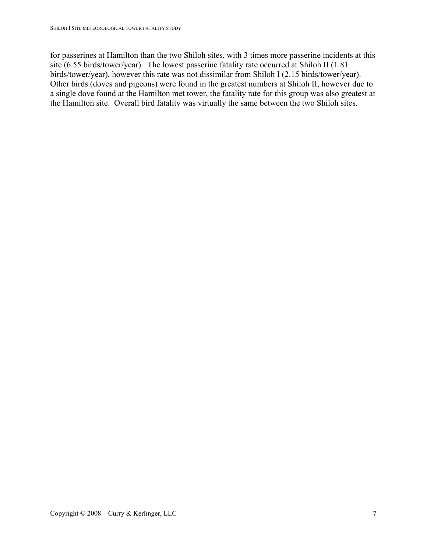for passerines at Hamilton than the two Shiloh sites, with 3 times more passerine incidents at this site (6.55 birds/tower/year). The lowest passerine fatality rate occurred at Shiloh II (1.81 birds/tower/year), however this rate was not dissimilar from Shiloh I (2.15 birds/tower/year). Other birds (doves and pigeons) were found in the greatest numbers at Shiloh II, however due to a single dove found at the Hamilton met tower, the fatality rate for this group was also greatest at the Hamilton site. Overall bird fatality was virtually the same between the two Shiloh sites.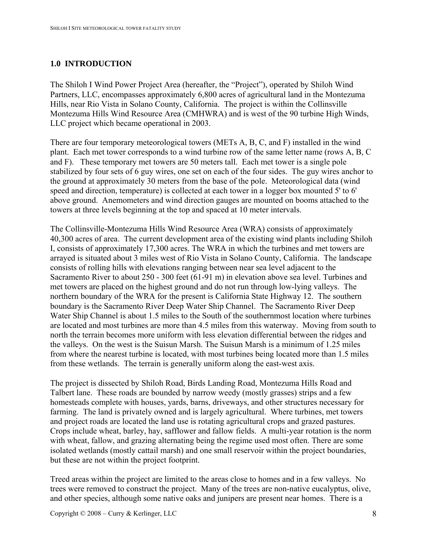## <span id="page-7-0"></span>**1.0 INTRODUCTION**

The Shiloh I Wind Power Project Area (hereafter, the "Project"), operated by Shiloh Wind Partners, LLC, encompasses approximately 6,800 acres of agricultural land in the Montezuma Hills, near Rio Vista in Solano County, California. The project is within the Collinsville Montezuma Hills Wind Resource Area (CMHWRA) and is west of the 90 turbine High Winds, LLC project which became operational in 2003.

There are four temporary meteorological towers (METs A, B, C, and F) installed in the wind plant. Each met tower corresponds to a wind turbine row of the same letter name (rows A, B, C and F). These temporary met towers are 50 meters tall. Each met tower is a single pole stabilized by four sets of 6 guy wires, one set on each of the four sides. The guy wires anchor to the ground at approximately 30 meters from the base of the pole. Meteorological data (wind speed and direction, temperature) is collected at each tower in a logger box mounted 5' to 6' above ground. Anemometers and wind direction gauges are mounted on booms attached to the towers at three levels beginning at the top and spaced at 10 meter intervals.

The Collinsville-Montezuma Hills Wind Resource Area (WRA) consists of approximately 40,300 acres of area. The current development area of the existing wind plants including Shiloh I, consists of approximately 17,300 acres. The WRA in which the turbines and met towers are arrayed is situated about 3 miles west of Rio Vista in Solano County, California. The landscape consists of rolling hills with elevations ranging between near sea level adjacent to the Sacramento River to about 250 - 300 feet (61-91 m) in elevation above sea level. Turbines and met towers are placed on the highest ground and do not run through low-lying valleys. The northern boundary of the WRA for the present is California State Highway 12. The southern boundary is the Sacramento River Deep Water Ship Channel. The Sacramento River Deep Water Ship Channel is about 1.5 miles to the South of the southernmost location where turbines are located and most turbines are more than 4.5 miles from this waterway. Moving from south to north the terrain becomes more uniform with less elevation differential between the ridges and the valleys. On the west is the Suisun Marsh. The Suisun Marsh is a minimum of 1.25 miles from where the nearest turbine is located, with most turbines being located more than 1.5 miles from these wetlands. The terrain is generally uniform along the east-west axis.

The project is dissected by Shiloh Road, Birds Landing Road, Montezuma Hills Road and Talbert lane. These roads are bounded by narrow weedy (mostly grasses) strips and a few homesteads complete with houses, yards, barns, driveways, and other structures necessary for farming. The land is privately owned and is largely agricultural. Where turbines, met towers and project roads are located the land use is rotating agricultural crops and grazed pastures. Crops include wheat, barley, hay, safflower and fallow fields. A multi-year rotation is the norm with wheat, fallow, and grazing alternating being the regime used most often. There are some isolated wetlands (mostly cattail marsh) and one small reservoir within the project boundaries, but these are not within the project footprint.

Treed areas within the project are limited to the areas close to homes and in a few valleys. No trees were removed to construct the project. Many of the trees are non-native eucalyptus, olive, and other species, although some native oaks and junipers are present near homes. There is a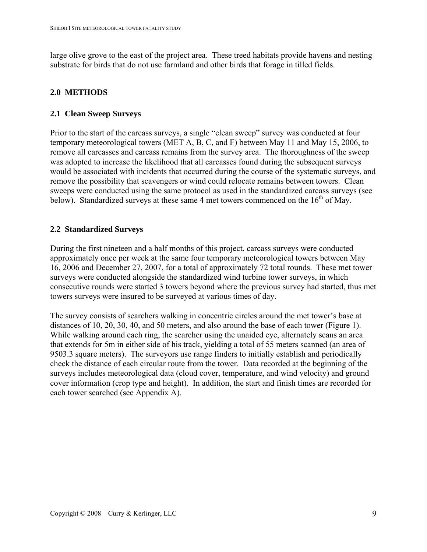<span id="page-8-0"></span>large olive grove to the east of the project area. These treed habitats provide havens and nesting substrate for birds that do not use farmland and other birds that forage in tilled fields.

### **2.0 METHODS**

### **2.1 Clean Sweep Surveys**

Prior to the start of the carcass surveys, a single "clean sweep" survey was conducted at four temporary meteorological towers (MET A, B, C, and F) between May 11 and May 15, 2006, to remove all carcasses and carcass remains from the survey area. The thoroughness of the sweep was adopted to increase the likelihood that all carcasses found during the subsequent surveys would be associated with incidents that occurred during the course of the systematic surveys, and remove the possibility that scavengers or wind could relocate remains between towers. Clean sweeps were conducted using the same protocol as used in the standardized carcass surveys (see below). Standardized surveys at these same 4 met towers commenced on the  $16<sup>th</sup>$  of May.

#### **2.2 Standardized Surveys**

During the first nineteen and a half months of this project, carcass surveys were conducted approximately once per week at the same four temporary meteorological towers between May 16, 2006 and December 27, 2007, for a total of approximately 72 total rounds. These met tower surveys were conducted alongside the standardized wind turbine tower surveys, in which consecutive rounds were started 3 towers beyond where the previous survey had started, thus met towers surveys were insured to be surveyed at various times of day.

The survey consists of searchers walking in concentric circles around the met tower's base at distances of 10, 20, 30, 40, and 50 meters, and also around the base of each tower (Figure 1). While walking around each ring, the searcher using the unaided eye, alternately scans an area that extends for 5m in either side of his track, yielding a total of 55 meters scanned (an area of 9503.3 square meters). The surveyors use range finders to initially establish and periodically check the distance of each circular route from the tower. Data recorded at the beginning of the surveys includes meteorological data (cloud cover, temperature, and wind velocity) and ground cover information (crop type and height). In addition, the start and finish times are recorded for each tower searched (see Appendix A).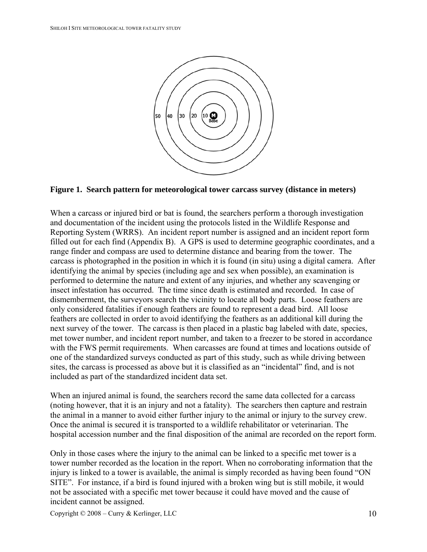<span id="page-9-0"></span>

# **Figure 1. Search pattern for meteorological tower carcass survey (distance in meters)**

When a carcass or injured bird or bat is found, the searchers perform a thorough investigation and documentation of the incident using the protocols listed in the Wildlife Response and Reporting System (WRRS). An incident report number is assigned and an incident report form filled out for each find (Appendix B). A GPS is used to determine geographic coordinates, and a range finder and compass are used to determine distance and bearing from the tower. The carcass is photographed in the position in which it is found (in situ) using a digital camera. After identifying the animal by species (including age and sex when possible), an examination is performed to determine the nature and extent of any injuries, and whether any scavenging or insect infestation has occurred. The time since death is estimated and recorded. In case of dismemberment, the surveyors search the vicinity to locate all body parts. Loose feathers are only considered fatalities if enough feathers are found to represent a dead bird. All loose feathers are collected in order to avoid identifying the feathers as an additional kill during the next survey of the tower. The carcass is then placed in a plastic bag labeled with date, species, met tower number, and incident report number, and taken to a freezer to be stored in accordance with the FWS permit requirements. When carcasses are found at times and locations outside of one of the standardized surveys conducted as part of this study, such as while driving between sites, the carcass is processed as above but it is classified as an "incidental" find, and is not included as part of the standardized incident data set.

When an injured animal is found, the searchers record the same data collected for a carcass (noting however, that it is an injury and not a fatality). The searchers then capture and restrain the animal in a manner to avoid either further injury to the animal or injury to the survey crew. Once the animal is secured it is transported to a wildlife rehabilitator or veterinarian. The hospital accession number and the final disposition of the animal are recorded on the report form.

Only in those cases where the injury to the animal can be linked to a specific met tower is a tower number recorded as the location in the report. When no corroborating information that the injury is linked to a tower is available, the animal is simply recorded as having been found "ON SITE". For instance, if a bird is found injured with a broken wing but is still mobile, it would not be associated with a specific met tower because it could have moved and the cause of incident cannot be assigned.

Copyright  $\odot$  2008 – Curry & Kerlinger, LLC 10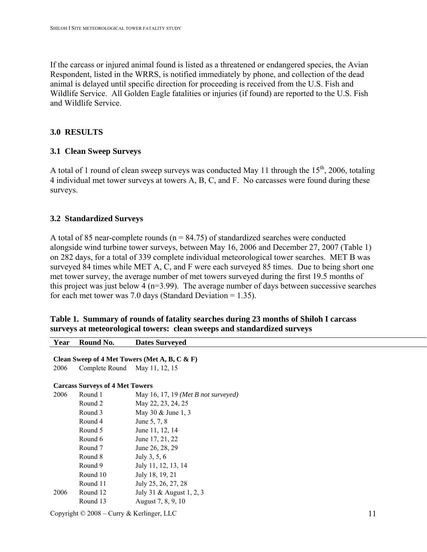<span id="page-10-0"></span>If the carcass or injured animal found is listed as a threatened or endangered species, the Avian Respondent, listed in the WRRS, is notified immediately by phone, and collection of the dead animal is delayed until specific direction for proceeding is received from the U.S. Fish and Wildlife Service. All Golden Eagle fatalities or injuries (if found) are reported to the U.S. Fish and Wildlife Service.

#### **3.0 RESULTS**

#### **3.1 Clean Sweep Surveys**

A total of 1 round of clean sweep surveys was conducted May 11 through the  $15<sup>th</sup>$ , 2006, totaling 4 individual met tower surveys at towers A, B, C, and F. No carcasses were found during these surveys.

#### **3.2 Standardized Surveys**

A total of 85 near-complete rounds ( $n = 84.75$ ) of standardized searches were conducted alongside wind turbine tower surveys, between May 16, 2006 and December 27, 2007 (Table 1) on 282 days, for a total of 339 complete individual meteorological tower searches. MET B was surveyed 84 times while MET A, C, and F were each surveyed 85 times. Due to being short one met tower survey, the average number of met towers surveyed during the first 19.5 months of this project was just below 4 ( $n=3.99$ ). The average number of days between successive searches for each met tower was 7.0 days (Standard Deviation = 1.35).

| Table 1. Summary of rounds of fatality searches during 23 months of Shiloh I carcass |  |  |
|--------------------------------------------------------------------------------------|--|--|
| surveys at meteorological towers: clean sweeps and standardized surveys              |  |  |

| Year | Round No.                                       | <b>Dates Surveyed</b>               |    |  |  |
|------|-------------------------------------------------|-------------------------------------|----|--|--|
|      | Clean Sweep of 4 Met Towers (Met A, B, C & F)   |                                     |    |  |  |
| 2006 | Complete Round                                  | May 11, 12, 15                      |    |  |  |
|      | <b>Carcass Surveys of 4 Met Towers</b>          |                                     |    |  |  |
| 2006 | Round 1                                         | May 16, 17, 19 (Met B not surveyed) |    |  |  |
|      | Round 2                                         | May 22, 23, 24, 25                  |    |  |  |
|      | Round 3                                         | May 30 & June 1, 3                  |    |  |  |
|      | Round 4                                         | June 5, 7, 8                        |    |  |  |
|      | Round 5                                         | June 11, 12, 14                     |    |  |  |
|      | Round 6                                         | June 17, 21, 22                     |    |  |  |
|      | Round 7                                         | June 26, 28, 29                     |    |  |  |
|      | Round 8                                         | July 3, 5, 6                        |    |  |  |
|      | Round 9                                         | July 11, 12, 13, 14                 |    |  |  |
|      | Round 10                                        | July 18, 19, 21                     |    |  |  |
|      | Round 11                                        | July 25, 26, 27, 28                 |    |  |  |
| 2006 | Round 12                                        | July 31 & August 1, 2, 3            |    |  |  |
|      | Round 13                                        | August 7, 8, 9, 10                  |    |  |  |
|      | Copyright $\odot$ 2008 – Curry & Kerlinger, LLC |                                     | 11 |  |  |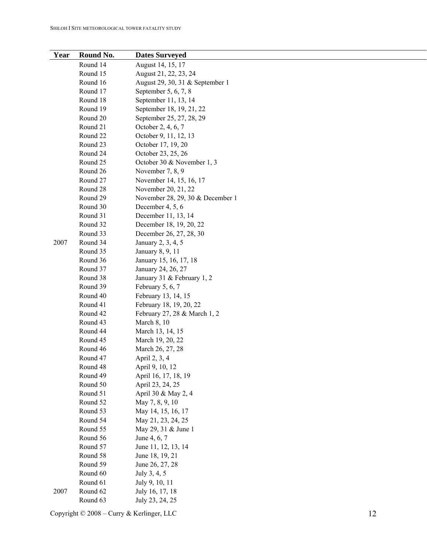| Year | Round No. | <b>Dates Surveyed</b>            |
|------|-----------|----------------------------------|
|      | Round 14  | August 14, 15, 17                |
|      | Round 15  | August 21, 22, 23, 24            |
|      | Round 16  | August 29, 30, 31 & September 1  |
|      | Round 17  | September 5, 6, 7, 8             |
|      | Round 18  | September 11, 13, 14             |
|      | Round 19  | September 18, 19, 21, 22         |
|      | Round 20  | September 25, 27, 28, 29         |
|      | Round 21  | October 2, 4, 6, 7               |
|      | Round 22  | October 9, 11, 12, 13            |
|      | Round 23  | October 17, 19, 20               |
|      | Round 24  | October 23, 25, 26               |
|      | Round 25  | October 30 & November 1, 3       |
|      | Round 26  | November 7, 8, 9                 |
|      | Round 27  | November 14, 15, 16, 17          |
|      | Round 28  | November 20, 21, 22              |
|      | Round 29  | November 28, 29, 30 & December 1 |
|      | Round 30  | December 4, 5, 6                 |
|      | Round 31  | December 11, 13, 14              |
|      | Round 32  | December 18, 19, 20, 22          |
|      | Round 33  | December 26, 27, 28, 30          |
| 2007 | Round 34  | January 2, 3, 4, 5               |
|      | Round 35  | January 8, 9, 11                 |
|      | Round 36  | January 15, 16, 17, 18           |
|      | Round 37  | January 24, 26, 27               |
|      | Round 38  | January 31 & February 1, 2       |
|      | Round 39  | February 5, 6, 7                 |
|      | Round 40  | February 13, 14, 15              |
|      | Round 41  | February 18, 19, 20, 22          |
|      | Round 42  | February 27, 28 & March 1, 2     |
|      | Round 43  | March 8, 10                      |
|      | Round 44  | March 13, 14, 15                 |
|      | Round 45  | March 19, 20, 22                 |
|      | Round 46  | March 26, 27, 28                 |
|      | Round 47  | April 2, 3, 4                    |
|      | Round 48  | April 9, 10, 12                  |
|      | Round 49  | April 16, 17, 18, 19             |
|      | Round 50  | April 23, 24, 25                 |
|      | Round 51  | April 30 & May 2, 4              |
|      | Round 52  | May 7, 8, 9, 10                  |
|      | Round 53  | May 14, 15, 16, 17               |
|      | Round 54  | May 21, 23, 24, 25               |
|      | Round 55  | May 29, 31 & June 1              |
|      | Round 56  | June 4, 6, 7                     |
|      | Round 57  | June 11, 12, 13, 14              |
|      | Round 58  | June 18, 19, 21                  |
|      | Round 59  | June 26, 27, 28                  |
|      | Round 60  | July 3, 4, 5                     |
|      | Round 61  | July 9, 10, 11                   |
| 2007 | Round 62  | July 16, 17, 18                  |
|      | Round 63  | July 23, 24, 25                  |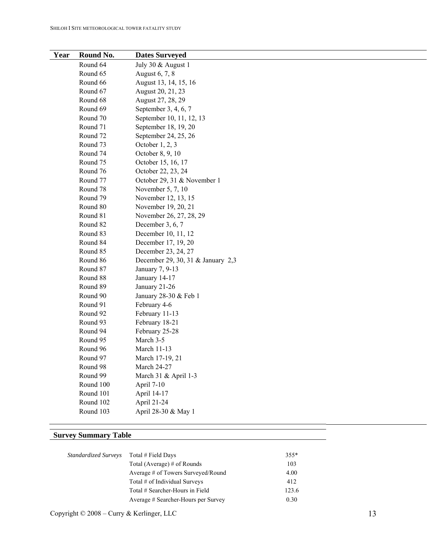| Year | Round No. | <b>Dates Surveyed</b>             |
|------|-----------|-----------------------------------|
|      | Round 64  | July 30 & August 1                |
|      | Round 65  | August 6, 7, 8                    |
|      | Round 66  | August 13, 14, 15, 16             |
|      | Round 67  | August 20, 21, 23                 |
|      | Round 68  | August 27, 28, 29                 |
|      | Round 69  | September 3, 4, 6, 7              |
|      | Round 70  | September 10, 11, 12, 13          |
|      | Round 71  | September 18, 19, 20              |
|      | Round 72  | September 24, 25, 26              |
|      | Round 73  | October $1, 2, 3$                 |
|      | Round 74  | October 8, 9, 10                  |
|      | Round 75  | October 15, 16, 17                |
|      | Round 76  | October 22, 23, 24                |
|      | Round 77  | October 29, 31 & November 1       |
|      | Round 78  | November 5, 7, 10                 |
|      | Round 79  | November 12, 13, 15               |
|      | Round 80  | November 19, 20, 21               |
|      | Round 81  | November 26, 27, 28, 29           |
|      | Round 82  | December 3, 6, 7                  |
|      | Round 83  | December 10, 11, 12               |
|      | Round 84  | December 17, 19, 20               |
|      | Round 85  | December 23, 24, 27               |
|      | Round 86  | December 29, 30, 31 & January 2,3 |
|      | Round 87  | January 7, 9-13                   |
|      | Round 88  | January 14-17                     |
|      | Round 89  | January 21-26                     |
|      | Round 90  | January 28-30 & Feb 1             |
|      | Round 91  | February 4-6                      |
|      | Round 92  | February 11-13                    |
|      | Round 93  | February 18-21                    |
|      | Round 94  | February 25-28                    |
|      | Round 95  | March 3-5                         |
|      | Round 96  | March 11-13                       |
|      | Round 97  | March 17-19, 21                   |
|      | Round 98  | <b>March 24-27</b>                |
|      | Round 99  | March 31 & April 1-3              |
|      | Round 100 | April 7-10                        |
|      | Round 101 | April 14-17                       |
|      | Round 102 | April 21-24                       |
|      | Round 103 | April 28-30 & May 1               |

### **Survey Summary Table**

| Standardized Surveys | Total # Field Days                  | $355*$ |
|----------------------|-------------------------------------|--------|
|                      | Total (Average) # of Rounds         | 103    |
|                      | Average # of Towers Surveyed/Round  | 4.00   |
|                      | Total # of Individual Surveys       | 412    |
|                      | Total # Searcher-Hours in Field     | 123.6  |
|                      | Average # Searcher-Hours per Survey | 0.30   |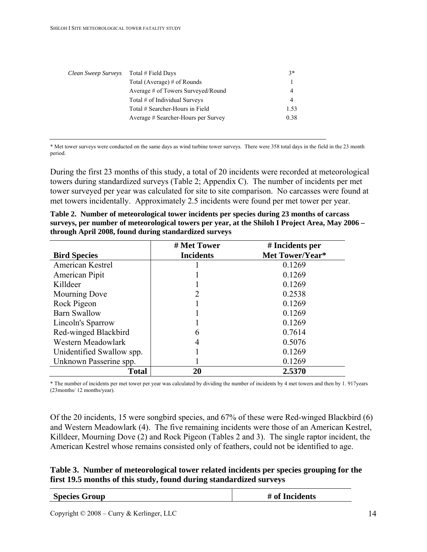<span id="page-13-0"></span>

| Clean Sweep Surveys | Total # Field Days                  | $3*$           |
|---------------------|-------------------------------------|----------------|
|                     | Total (Average) # of Rounds         |                |
|                     | Average # of Towers Surveyed/Round  | $\overline{4}$ |
|                     | Total # of Individual Surveys       | $\overline{4}$ |
|                     | Total # Searcher-Hours in Field     | 1.53           |
|                     | Average # Searcher-Hours per Survey | 0.38           |

\* Met tower surveys were conducted on the same days as wind turbine tower surveys. There were 358 total days in the field in the 23 month period.

During the first 23 months of this study, a total of 20 incidents were recorded at meteorological towers during standardized surveys (Table 2; Appendix C). The number of incidents per met tower surveyed per year was calculated for site to site comparison. No carcasses were found at met towers incidentally. Approximately 2.5 incidents were found per met tower per year.

| Table 2. Number of meteorological tower incidents per species during 23 months of carcass       |  |
|-------------------------------------------------------------------------------------------------|--|
| surveys, per number of meteorological towers per year, at the Shiloh I Project Area, May 2006 – |  |
| through April 2008, found during standardized surveys                                           |  |

|                           | # Met Tower      | # Incidents per |
|---------------------------|------------------|-----------------|
| <b>Bird Species</b>       | <b>Incidents</b> | Met Tower/Year* |
| American Kestrel          |                  | 0.1269          |
| American Pipit            |                  | 0.1269          |
| Killdeer                  |                  | 0.1269          |
| Mourning Dove             |                  | 0.2538          |
| Rock Pigeon               |                  | 0.1269          |
| <b>Barn Swallow</b>       |                  | 0.1269          |
| Lincoln's Sparrow         |                  | 0.1269          |
| Red-winged Blackbird      | 6                | 0.7614          |
| Western Meadowlark        | 4                | 0.5076          |
| Unidentified Swallow spp. |                  | 0.1269          |
| Unknown Passerine spp.    |                  | 0.1269          |
| <b>Total</b>              | 20               | 2.5370          |

\* The number of incidents per met tower per year was calculated by dividing the number of incidents by 4 met towers and then by 1. 917years (23months/ 12 months/year).

Of the 20 incidents, 15 were songbird species, and 67% of these were Red-winged Blackbird (6) and Western Meadowlark (4). The five remaining incidents were those of an American Kestrel, Killdeer, Mourning Dove (2) and Rock Pigeon (Tables 2 and 3). The single raptor incident, the American Kestrel whose remains consisted only of feathers, could not be identified to age.

|  | Table 3. Number of meteorological tower related incidents per species grouping for the |  |  |
|--|----------------------------------------------------------------------------------------|--|--|
|  | first 19.5 months of this study, found during standardized surveys                     |  |  |

| <b>Species Group</b> | # of Incidents |
|----------------------|----------------|
|                      |                |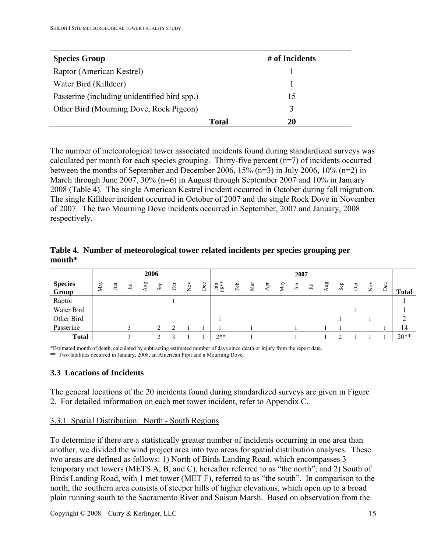<span id="page-14-0"></span>

| <b>Species Group</b>                         | # of Incidents |
|----------------------------------------------|----------------|
| Raptor (American Kestrel)                    |                |
| Water Bird (Killdeer)                        |                |
| Passerine (including unidentified bird spp.) | 15             |
| Other Bird (Mourning Dove, Rock Pigeon)      |                |
| Total                                        |                |

The number of meteorological tower associated incidents found during standardized surveys was calculated per month for each species grouping. Thirty-five percent (n=7) of incidents occurred between the months of September and December 2006, 15% (n=3) in July 2006, 10% (n=2) in March through June 2007, 30% (n=6) in August through September 2007 and 10% in January 2008 (Table 4). The single American Kestrel incident occurred in October during fall migration. The single Killdeer incident occurred in October of 2007 and the single Rock Dove in November of 2007. The two Mourning Dove incidents occurred in September, 2007 and January, 2008 respectively.

|                         |     |   |   | 2006 |     |          |                       |     |                         |     |     |     |     | 2007 |       |     |     |          |                      |     |              |
|-------------------------|-----|---|---|------|-----|----------|-----------------------|-----|-------------------------|-----|-----|-----|-----|------|-------|-----|-----|----------|----------------------|-----|--------------|
| <b>Species</b><br>Group | May | Ξ | Ξ | any  | Sep | $\sigma$ | $\sum_{i=1}^{\infty}$ | Dec | $\ast$<br>$\lim_{68**}$ | Feb | Mar | Apr | May | Ξ    | $\Xi$ | Aug | Sep | $\sigma$ | $\check{\mathsf{z}}$ | Dec | <b>Total</b> |
| Raptor                  |     |   |   |      |     |          |                       |     |                         |     |     |     |     |      |       |     |     |          |                      |     |              |
| Water Bird              |     |   |   |      |     |          |                       |     |                         |     |     |     |     |      |       |     |     |          |                      |     |              |
| Other Bird              |     |   |   |      |     |          |                       |     |                         |     |     |     |     |      |       |     |     |          |                      |     |              |
| Passerine               |     |   | ◠ |      |     |          |                       |     |                         |     |     |     |     |      |       |     |     |          |                      |     | 14           |
| <b>Total</b>            |     |   |   |      |     |          |                       |     | $2**$                   |     |     |     |     |      |       |     |     |          |                      |     | $20**$       |

**Table 4. Number of meteorological tower related incidents per species grouping per month\*** 

\*Estimated month of death, calculated by subtracting estimated number of days since death or injury from the report date.

**\*\*** Two fatalities occurred in January, 2008, an American Pipit and a Mourning Dove.

#### **3.3 Locations of Incidents**

The general locations of the 20 incidents found during standardized surveys are given in Figure 2. For detailed information on each met tower incident, refer to Appendix C.

#### 3.3.1 Spatial Distribution: North - South Regions

To determine if there are a statistically greater number of incidents occurring in one area than another, we divided the wind project area into two areas for spatial distribution analyses. These two areas are defined as follows: 1) North of Birds Landing Road, which encompasses 3 temporary met towers (METS A, B, and C), hereafter referred to as "the north"; and 2) South of Birds Landing Road, with 1 met tower (MET F), referred to as "the south". In comparison to the north, the southern area consists of steeper hills of higher elevations, which open up to a broad plain running south to the Sacramento River and Suisun Marsh. Based on observation from the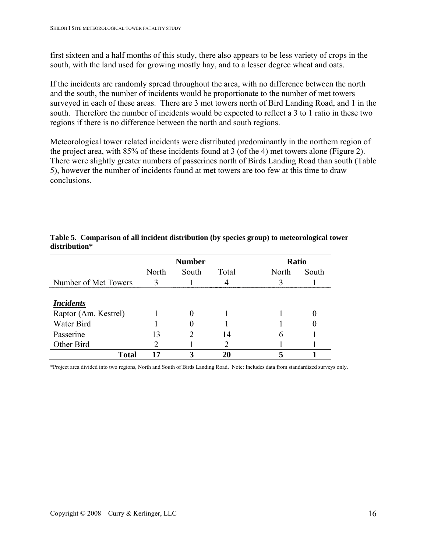<span id="page-15-0"></span>first sixteen and a half months of this study, there also appears to be less variety of crops in the south, with the land used for growing mostly hay, and to a lesser degree wheat and oats.

If the incidents are randomly spread throughout the area, with no difference between the north and the south, the number of incidents would be proportionate to the number of met towers surveyed in each of these areas. There are 3 met towers north of Bird Landing Road, and 1 in the south. Therefore the number of incidents would be expected to reflect a 3 to 1 ratio in these two regions if there is no difference between the north and south regions.

Meteorological tower related incidents were distributed predominantly in the northern region of the project area, with 85% of these incidents found at 3 (of the 4) met towers alone (Figure 2). There were slightly greater numbers of passerines north of Birds Landing Road than south (Table 5), however the number of incidents found at met towers are too few at this time to draw conclusions.

|                                          |       | <b>Number</b> |       | Ratio |       |
|------------------------------------------|-------|---------------|-------|-------|-------|
|                                          | North | South         | Total | North | South |
| Number of Met Towers                     |       |               |       |       |       |
| <b>Incidents</b><br>Raptor (Am. Kestrel) |       |               |       |       |       |
| Water Bird                               |       |               |       |       |       |
| Passerine                                | 13    |               | 14    | h     |       |
| Other Bird                               |       |               |       |       |       |
| <b>Total</b>                             | 17    |               |       |       |       |

#### **Table 5. Comparison of all incident distribution (by species group) to meteorological tower distribution\***

\*Project area divided into two regions, North and South of Birds Landing Road. Note: Includes data from standardized surveys only.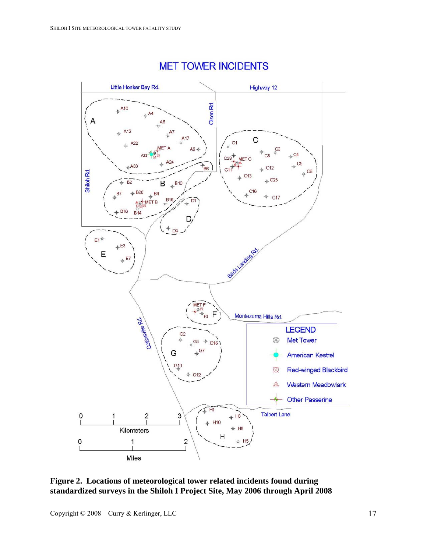<span id="page-16-0"></span>

# **MET TOWER INCIDENTS**

### **Figure 2. Locations of meteorological tower related incidents found during standardized surveys in the Shiloh I Project Site, May 2006 through April 2008**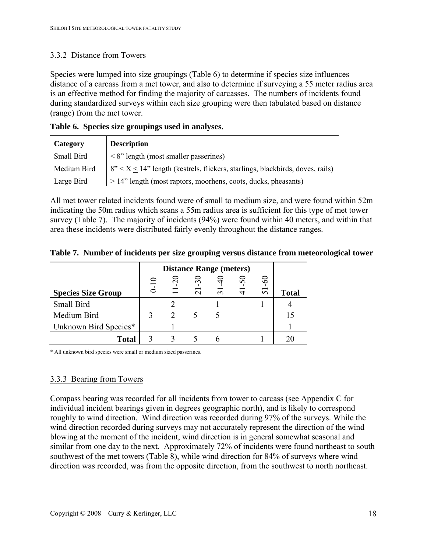### <span id="page-17-0"></span>3.3.2 Distance from Towers

Species were lumped into size groupings (Table 6) to determine if species size influences distance of a carcass from a met tower, and also to determine if surveying a 55 meter radius area is an effective method for finding the majority of carcasses. The numbers of incidents found during standardized surveys within each size grouping were then tabulated based on distance (range) from the met tower.

|  | Table 6. Species size groupings used in analyses. |  |  |  |
|--|---------------------------------------------------|--|--|--|
|--|---------------------------------------------------|--|--|--|

| Category    | <b>Description</b>                                                                       |
|-------------|------------------------------------------------------------------------------------------|
| Small Bird  | $\leq$ 8" length (most smaller passerines)                                               |
| Medium Bird | $\vert 8" < X \leq 14"$ length (kestrels, flickers, starlings, blackbirds, doves, rails) |
| Large Bird  | $> 14$ " length (most raptors, moorhens, coots, ducks, pheasants)                        |

All met tower related incidents found were of small to medium size, and were found within 52m indicating the 50m radius which scans a 55m radius area is sufficient for this type of met tower survey (Table 7). The majority of incidents (94%) were found within 40 meters, and within that area these incidents were distributed fairly evenly throughout the distance ranges.

|  |  | Table 7. Number of incidents per size grouping versus distance from meteorological tower |  |
|--|--|------------------------------------------------------------------------------------------|--|
|  |  |                                                                                          |  |

|                           |           | <b>Distance Range (meters)</b> |                     |                |        |    |              |  |  |  |
|---------------------------|-----------|--------------------------------|---------------------|----------------|--------|----|--------------|--|--|--|
|                           |           | $\sim$                         | $\sim$              |                | $50\,$ | 8  |              |  |  |  |
| <b>Species Size Group</b> | $\bar{1}$ | $\Box$                         | $\overline{\Omega}$ | $\overline{5}$ | $\Xi$  | 51 | <b>Total</b> |  |  |  |
| Small Bird                |           |                                |                     |                |        |    |              |  |  |  |
| Medium Bird               |           |                                |                     |                |        |    |              |  |  |  |
| Unknown Bird Species*     |           |                                |                     |                |        |    |              |  |  |  |
| <b>Total</b>              |           |                                |                     |                |        |    |              |  |  |  |

\* All unknown bird species were small or medium sized passerines.

# 3.3.3 Bearing from Towers

Compass bearing was recorded for all incidents from tower to carcass (see Appendix C for individual incident bearings given in degrees geographic north), and is likely to correspond roughly to wind direction. Wind direction was recorded during 97% of the surveys. While the wind direction recorded during surveys may not accurately represent the direction of the wind blowing at the moment of the incident, wind direction is in general somewhat seasonal and similar from one day to the next. Approximately 72% of incidents were found northeast to south southwest of the met towers (Table 8), while wind direction for 84% of surveys where wind direction was recorded, was from the opposite direction, from the southwest to north northeast.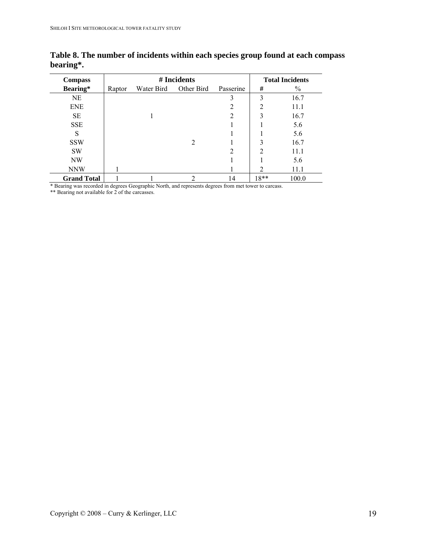| <b>Compass</b>     |        | # Incidents |            | <b>Total Incidents</b> |                |               |
|--------------------|--------|-------------|------------|------------------------|----------------|---------------|
| Bearing*           | Raptor | Water Bird  | Other Bird | Passerine              | #              | $\frac{0}{0}$ |
| NE                 |        |             |            | 3                      | 3              | 16.7          |
| <b>ENE</b>         |        |             |            | 2                      | 2              | 11.1          |
| <b>SE</b>          |        |             |            | $\overline{2}$         | 3              | 16.7          |
| <b>SSE</b>         |        |             |            |                        |                | 5.6           |
| S                  |        |             |            |                        |                | 5.6           |
| <b>SSW</b>         |        |             | 2          |                        | 3              | 16.7          |
| <b>SW</b>          |        |             |            | 2                      | $\mathfrak{D}$ | 11.1          |
| NW                 |        |             |            |                        |                | 5.6           |
| <b>NNW</b>         |        |             |            |                        | 2              | 11.1          |
| <b>Grand Total</b> |        |             | ∍          | 14                     | $18**$         | 100.0         |

<span id="page-18-0"></span>**Table 8. The number of incidents within each species group found at each compass bearing\*.** 

\* Bearing was recorded in degrees Geographic North, and represents degrees from met tower to carcass.

\*\* Bearing not available for 2 of the carcasses.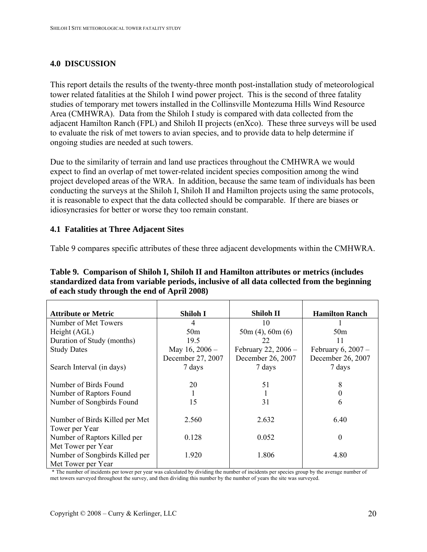### <span id="page-19-0"></span>**4.0 DISCUSSION**

This report details the results of the twenty-three month post-installation study of meteorological tower related fatalities at the Shiloh I wind power project. This is the second of three fatality studies of temporary met towers installed in the Collinsville Montezuma Hills Wind Resource Area (CMHWRA). Data from the Shiloh I study is compared with data collected from the adjacent Hamilton Ranch (FPL) and Shiloh II projects (enXco). These three surveys will be used to evaluate the risk of met towers to avian species, and to provide data to help determine if ongoing studies are needed at such towers.

Due to the similarity of terrain and land use practices throughout the CMHWRA we would expect to find an overlap of met tower-related incident species composition among the wind project developed areas of the WRA. In addition, because the same team of individuals has been conducting the surveys at the Shiloh I, Shiloh II and Hamilton projects using the same protocols, it is reasonable to expect that the data collected should be comparable. If there are biases or idiosyncrasies for better or worse they too remain constant.

#### **4.1 Fatalities at Three Adjacent Sites**

Table 9 compares specific attributes of these three adjacent developments within the CMHWRA.

| Table 9. Comparison of Shiloh I, Shiloh II and Hamilton attributes or metrics (includes     |
|---------------------------------------------------------------------------------------------|
| standardized data from variable periods, inclusive of all data collected from the beginning |
| of each study through the end of April 2008)                                                |

| <b>Attribute or Metric</b>     | Shiloh I          | Shiloh II             | <b>Hamilton Ranch</b> |
|--------------------------------|-------------------|-----------------------|-----------------------|
| Number of Met Towers           | 4                 | 10                    |                       |
| Height (AGL)                   | 50 <sub>m</sub>   | $50m(4)$ , 60m $(6)$  | 50 <sub>m</sub>       |
| Duration of Study (months)     | 19.5              | 22                    | 11                    |
| <b>Study Dates</b>             | May $16, 2006$ -  | February 22, $2006 -$ | February $6, 2007 -$  |
|                                | December 27, 2007 | December 26, 2007     | December 26, 2007     |
| Search Interval (in days)      | 7 days            | 7 days                | 7 days                |
|                                |                   |                       |                       |
| Number of Birds Found          | 20                | 51                    | 8                     |
| Number of Raptors Found        |                   |                       |                       |
| Number of Songbirds Found      | 15                | 31                    | 6                     |
|                                |                   |                       |                       |
| Number of Birds Killed per Met | 2.560             | 2.632                 | 6.40                  |
| Tower per Year                 |                   |                       |                       |
| Number of Raptors Killed per   | 0.128             | 0.052                 | $\boldsymbol{0}$      |
| Met Tower per Year             |                   |                       |                       |
| Number of Songbirds Killed per | 1.920             | 1.806                 | 4.80                  |
| Met Tower per Year             |                   |                       |                       |

\* The number of incidents per tower per year was calculated by dividing the number of incidents per species group by the average number of met towers surveyed throughout the survey, and then dividing this number by the number of years the site was surveyed.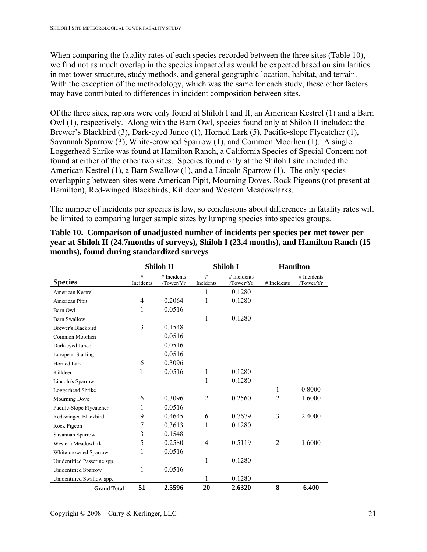<span id="page-20-0"></span>When comparing the fatality rates of each species recorded between the three sites (Table 10), we find not as much overlap in the species impacted as would be expected based on similarities in met tower structure, study methods, and general geographic location, habitat, and terrain. With the exception of the methodology, which was the same for each study, these other factors may have contributed to differences in incident composition between sites.

Of the three sites, raptors were only found at Shiloh I and II, an American Kestrel (1) and a Barn Owl (1), respectively. Along with the Barn Owl, species found only at Shiloh II included: the Brewer's Blackbird (3), Dark-eyed Junco (1), Horned Lark (5), Pacific-slope Flycatcher (1), Savannah Sparrow (3), White-crowned Sparrow (1), and Common Moorhen (1). A single Loggerhead Shrike was found at Hamilton Ranch, a California Species of Special Concern not found at either of the other two sites. Species found only at the Shiloh I site included the American Kestrel (1), a Barn Swallow (1), and a Lincoln Sparrow (1). The only species overlapping between sites were American Pipit, Mourning Doves, Rock Pigeons (not present at Hamilton), Red-winged Blackbirds, Killdeer and Western Meadowlarks.

The number of incidents per species is low, so conclusions about differences in fatality rates will be limited to comparing larger sample sizes by lumping species into species groups.

|                             | Shiloh II        |           |                | Shiloh I    | <b>Hamilton</b> |             |  |  |
|-----------------------------|------------------|-----------|----------------|-------------|-----------------|-------------|--|--|
|                             | #<br># Incidents |           | #              | # Incidents |                 | # Incidents |  |  |
| <b>Species</b>              | Incidents        | /Tower/Yr | Incidents      | /Tower/Yr   | # Incidents     | /Tower/Yr   |  |  |
| American Kestrel            |                  |           | 1              | 0.1280      |                 |             |  |  |
| American Pipit              | $\overline{4}$   | 0.2064    | 1              | 0.1280      |                 |             |  |  |
| Barn Owl                    | 1                | 0.0516    |                |             |                 |             |  |  |
| <b>Barn Swallow</b>         |                  |           | 1              | 0.1280      |                 |             |  |  |
| Brewer's Blackbird          | 3                | 0.1548    |                |             |                 |             |  |  |
| Common Moorhen              | 1                | 0.0516    |                |             |                 |             |  |  |
| Dark-eyed Junco             | 1                | 0.0516    |                |             |                 |             |  |  |
| European Starling           | 1                | 0.0516    |                |             |                 |             |  |  |
| Horned Lark                 | 6                | 0.3096    |                |             |                 |             |  |  |
| Killdeer                    | 1                | 0.0516    | $\mathbf{1}$   | 0.1280      |                 |             |  |  |
| Lincoln's Sparrow           |                  |           | 1              | 0.1280      |                 |             |  |  |
| Loggerhead Shrike           |                  |           |                |             | 1               | 0.8000      |  |  |
| Mourning Dove               | 6                | 0.3096    | $\overline{2}$ | 0.2560      | $\overline{2}$  | 1.6000      |  |  |
| Pacific-Slope Flycatcher    | 1                | 0.0516    |                |             |                 |             |  |  |
| Red-winged Blackbird        | 9                | 0.4645    | 6              | 0.7679      | 3               | 2.4000      |  |  |
| Rock Pigeon                 | 7                | 0.3613    | 1              | 0.1280      |                 |             |  |  |
| Savannah Sparrow            | 3                | 0.1548    |                |             |                 |             |  |  |
| Western Meadowlark          | 5                | 0.2580    | $\overline{4}$ | 0.5119      | $\overline{2}$  | 1.6000      |  |  |
| White-crowned Sparrow       | 1                | 0.0516    |                |             |                 |             |  |  |
| Unidentified Passerine spp. |                  |           | 1              | 0.1280      |                 |             |  |  |
| Unidentified Sparrow        | 1                | 0.0516    |                |             |                 |             |  |  |
| Unidentified Swallow spp.   |                  |           | 1              | 0.1280      |                 |             |  |  |
| <b>Grand Total</b>          | 51               | 2.5596    | 20             | 2.6320      | 8               | 6.400       |  |  |

**Table 10. Comparison of unadjusted number of incidents per species per met tower per year at Shiloh II (24.7months of surveys), Shiloh I (23.4 months), and Hamilton Ranch (15 months), found during standardized surveys**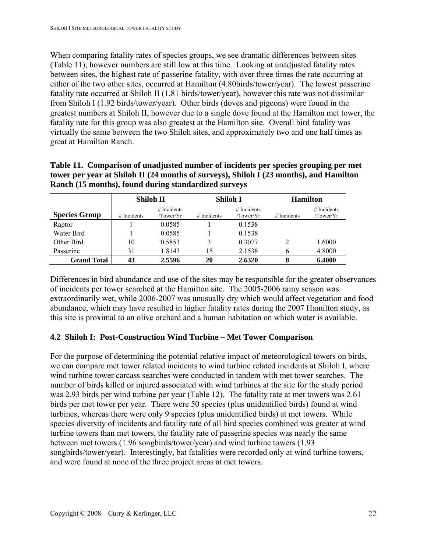<span id="page-21-0"></span>When comparing fatality rates of species groups, we see dramatic differences between sites (Table 11), however numbers are still low at this time. Looking at unadjusted fatality rates between sites, the highest rate of passerine fatality, with over three times the rate occurring at either of the two other sites, occurred at Hamilton (4.80birds/tower/year). The lowest passerine fatality rate occurred at Shiloh II (1.81 birds/tower/year), however this rate was not dissimilar from Shiloh I (1.92 birds/tower/year). Other birds (doves and pigeons) were found in the greatest numbers at Shiloh II, however due to a single dove found at the Hamilton met tower, the fatality rate for this group was also greatest at the Hamilton site. Overall bird fatality was virtually the same between the two Shiloh sites, and approximately two and one half times as great at Hamilton Ranch.

|                      | <b>Shiloh II</b> |                            |               | Shiloh I                   | <b>Hamilton</b> |                            |  |
|----------------------|------------------|----------------------------|---------------|----------------------------|-----------------|----------------------------|--|
| <b>Species Group</b> | $#$ Incidents    | $#$ Incidents<br>/Tower/Yr | $#$ Incidents | $#$ Incidents<br>/Tower/Yr | $#$ Incidents   | $#$ Incidents<br>/Tower/Yr |  |
| Raptor               |                  | 0.0585                     |               | 0.1538                     |                 |                            |  |
| Water Bird           |                  | 0.0585                     |               | 0.1538                     |                 |                            |  |
| Other Bird           | 10               | 0.5853                     | 3             | 0.3077                     | $\mathcal{D}$   | 1.6000                     |  |
| Passerine            | 31               | 1.8143                     | 15            | 2.1538                     | 6               | 4.8000                     |  |
| <b>Grand Total</b>   | 43               | 2.5596                     | 20            | 2.6320                     | 8               | 6.4000                     |  |

| Table 11. Comparison of unadjusted number of incidents per species grouping per met    |
|----------------------------------------------------------------------------------------|
| tower per year at Shiloh II (24 months of surveys), Shiloh I (23 months), and Hamilton |
| Ranch (15 months), found during standardized surveys                                   |

Differences in bird abundance and use of the sites may be responsible for the greater observances of incidents per tower searched at the Hamilton site. The 2005-2006 rainy season was extraordinarily wet, while 2006-2007 was unusually dry which would affect vegetation and food abundance, which may have resulted in higher fatality rates during the 2007 Hamilton study, as this site is proximal to an olive orchard and a human habitation on which water is available.

# **4.2 Shiloh I: Post-Construction Wind Turbine – Met Tower Comparison**

For the purpose of determining the potential relative impact of meteorological towers on birds, we can compare met tower related incidents to wind turbine related incidents at Shiloh I, where wind turbine tower carcass searches were conducted in tandem with met tower searches. The number of birds killed or injured associated with wind turbines at the site for the study period was 2.93 birds per wind turbine per year (Table 12). The fatality rate at met towers was 2.61 birds per met tower per year. There were 50 species (plus unidentified birds) found at wind turbines, whereas there were only 9 species (plus unidentified birds) at met towers. While species diversity of incidents and fatality rate of all bird species combined was greater at wind turbine towers than met towers, the fatality rate of passerine species was nearly the same between met towers (1.96 songbirds/tower/year) and wind turbine towers (1.93 songbirds/tower/year). Interestingly, bat fatalities were recorded only at wind turbine towers, and were found at none of the three project areas at met towers.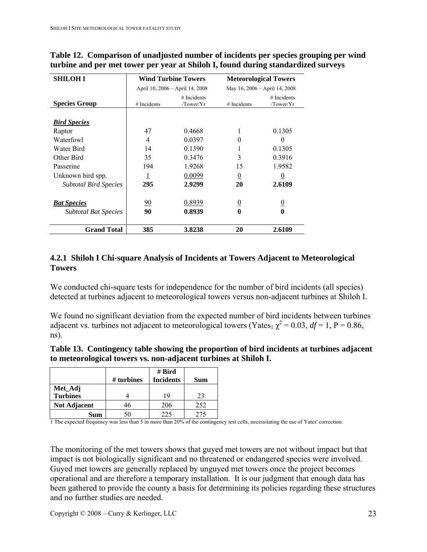| <b>SHILOH I</b>              |             | <b>Wind Turbine Towers</b>      | <b>Meteorological Towers</b> |                               |  |  |
|------------------------------|-------------|---------------------------------|------------------------------|-------------------------------|--|--|
|                              |             | April 10, 2006 - April 14, 2008 |                              | May 16, 2006 - April 14, 2008 |  |  |
| <b>Species Group</b>         | # Incidents | # Incidents<br>/Tower/Yr        | $#$ Incidents                | # Incidents<br>/Tower/Yr      |  |  |
|                              |             |                                 |                              |                               |  |  |
| <b>Bird Species</b>          |             |                                 |                              |                               |  |  |
| Raptor                       | 47          | 0.4668                          |                              | 0.1305                        |  |  |
| Waterfowl                    | 4           | 0.0397                          | 0                            | $\theta$                      |  |  |
| Water Bird                   | 14          | 0.1390                          |                              | 0.1305                        |  |  |
| Other Bird                   | 35          | 0.3476                          | 3                            | 0.3916                        |  |  |
| Passerine                    | 194         | 1.9268                          | 15                           | 1.9582                        |  |  |
| Unknown bird spp.            | 1           | 0.0099                          | $\overline{0}$               | $\overline{0}$                |  |  |
| <b>Subtotal Bird Species</b> | 295         | 2.9299                          | 20                           | 2.6109                        |  |  |
| <b>Bat Species</b>           | 90          | 0.8939                          | $\overline{0}$               | $\frac{0}{0}$                 |  |  |
| <b>Subtotal Bat Species</b>  | 90          | 0.8939                          | $\bf{0}$                     |                               |  |  |
| <b>Grand Total</b>           | 385         | 3.8238                          | 20                           | 2.6109                        |  |  |

<span id="page-22-0"></span>**Table 12. Comparison of unadjusted number of incidents per species grouping per wind turbine and per met tower per year at Shiloh I, found during standardized surveys** 

## **4.2.1 Shiloh I Chi-square Analysis of Incidents at Towers Adjacent to Meteorological Towers**

We conducted chi-square tests for independence for the number of bird incidents (all species) detected at turbines adjacent to meteorological towers versus non-adjacent turbines at Shiloh I.

We found no significant deviation from the expected number of bird incidents between turbines adjacent vs. turbines not adjacent to meteorological towers (Yates<sub>1</sub>  $\chi^2$  = 0.03, *df* = 1, P = 0.86, ns).

| Table 13. Contingency table showing the proportion of bird incidents at turbines adjacent |
|-------------------------------------------------------------------------------------------|
| to meteorological towers vs. non-adjacent turbines at Shiloh I.                           |

|                     |              | # Bird           |     |
|---------------------|--------------|------------------|-----|
|                     | $#$ turbines | <b>Incidents</b> | Sum |
| Met_Adj             |              |                  |     |
| <b>Turbines</b>     |              | 19               | 23  |
| <b>Not Adjacent</b> | 46           | 206              | 252 |
| Sum                 | 50           | 225              | 275 |

1 The expected frequency was less than 5 in more than 20% of the contingency test cells, necessitating the use of Yates' correction.

The monitoring of the met towers shows that guyed met towers are not without impact but that impact is not biologically significant and no threatened or endangered species were involved. Guyed met towers are generally replaced by unguyed met towers once the project becomes operational and are therefore a temporary installation. It is our judgment that enough data has been gathered to provide the county a basis for determining its policies regarding these structures and no further studies are needed.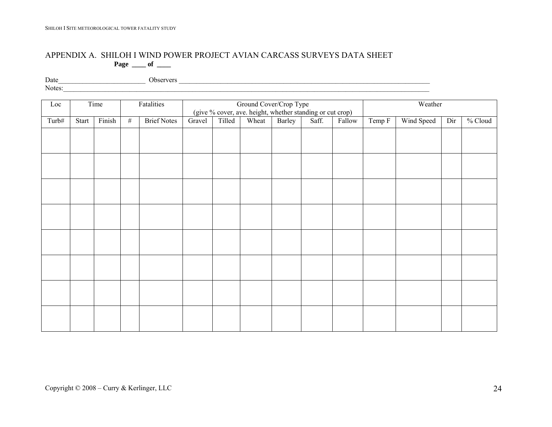#### APPENDIX A. SHILOH I WIND POWER PROJECT AVIAN CARCASS SURVEYS DATA SHEET  **Page \_\_\_\_ of \_\_\_\_**

Date\_\_\_\_\_\_\_\_\_\_\_\_\_\_\_\_\_\_\_\_\_\_\_\_\_ Observers \_\_\_\_\_\_\_\_\_\_\_\_\_\_\_\_\_\_\_\_\_\_\_\_\_\_\_\_\_\_\_\_\_\_\_\_\_\_\_\_\_\_\_\_\_\_\_\_\_\_\_\_\_\_\_\_\_\_\_\_\_\_\_\_\_\_\_\_\_\_\_\_

Notes: \_\_\_\_\_\_\_\_\_\_\_\_\_\_\_\_\_\_\_\_\_\_\_\_\_\_\_\_\_\_\_\_\_\_\_\_\_\_\_\_\_\_\_\_\_\_\_\_\_\_\_\_\_\_\_\_\_\_\_\_\_\_\_\_\_\_\_\_\_\_\_\_\_\_\_\_\_\_\_\_\_\_\_\_\_\_\_\_\_\_\_\_\_\_\_\_\_\_\_\_\_\_\_\_\_

<span id="page-23-0"></span>

| Loc   |       | Time   |      | Fatalities         |        |        | Ground Cover/Crop Type |        | (give % cover, ave. height, whether standing or cut crop) |        | Weather |                              |  |  |  |
|-------|-------|--------|------|--------------------|--------|--------|------------------------|--------|-----------------------------------------------------------|--------|---------|------------------------------|--|--|--|
| Turb# | Start | Finish | $\#$ | <b>Brief Notes</b> | Gravel | Tilled | Wheat                  | Barley | Saff.                                                     | Fallow | Temp F  | Wind Speed<br>% Cloud<br>Dir |  |  |  |
|       |       |        |      |                    |        |        |                        |        |                                                           |        |         |                              |  |  |  |
|       |       |        |      |                    |        |        |                        |        |                                                           |        |         |                              |  |  |  |
|       |       |        |      |                    |        |        |                        |        |                                                           |        |         |                              |  |  |  |
|       |       |        |      |                    |        |        |                        |        |                                                           |        |         |                              |  |  |  |
|       |       |        |      |                    |        |        |                        |        |                                                           |        |         |                              |  |  |  |
|       |       |        |      |                    |        |        |                        |        |                                                           |        |         |                              |  |  |  |
|       |       |        |      |                    |        |        |                        |        |                                                           |        |         |                              |  |  |  |
|       |       |        |      |                    |        |        |                        |        |                                                           |        |         |                              |  |  |  |
|       |       |        |      |                    |        |        |                        |        |                                                           |        |         |                              |  |  |  |
|       |       |        |      |                    |        |        |                        |        |                                                           |        |         |                              |  |  |  |
|       |       |        |      |                    |        |        |                        |        |                                                           |        |         |                              |  |  |  |
|       |       |        |      |                    |        |        |                        |        |                                                           |        |         |                              |  |  |  |
|       |       |        |      |                    |        |        |                        |        |                                                           |        |         |                              |  |  |  |
|       |       |        |      |                    |        |        |                        |        |                                                           |        |         |                              |  |  |  |
|       |       |        |      |                    |        |        |                        |        |                                                           |        |         |                              |  |  |  |
|       |       |        |      |                    |        |        |                        |        |                                                           |        |         |                              |  |  |  |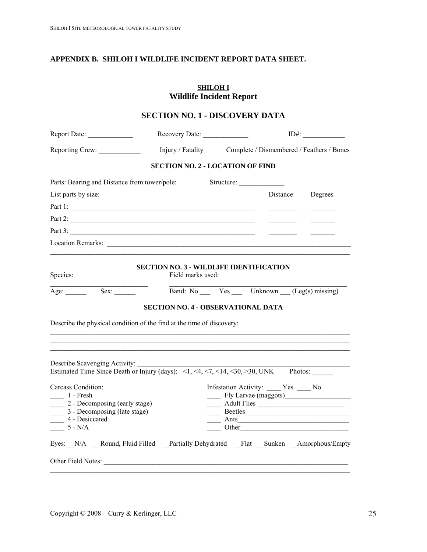### <span id="page-24-0"></span>**APPENDIX B. SHILOH I WILDLIFE INCIDENT REPORT DATA SHEET.**

**SHILOH I Wildlife Incident Report** 

|                                                                                                                                                                                                                                                                                                                                                                                                                    |                                                                 |            | <b>SECTION NO. 1 - DISCOVERY DATA</b>                                                                                                                                                                                                                                                                                                                                                                                        |  |  |  |
|--------------------------------------------------------------------------------------------------------------------------------------------------------------------------------------------------------------------------------------------------------------------------------------------------------------------------------------------------------------------------------------------------------------------|-----------------------------------------------------------------|------------|------------------------------------------------------------------------------------------------------------------------------------------------------------------------------------------------------------------------------------------------------------------------------------------------------------------------------------------------------------------------------------------------------------------------------|--|--|--|
|                                                                                                                                                                                                                                                                                                                                                                                                                    |                                                                 |            | Recovery Date: 1D#:<br>Injury / Fatality Complete / Dismembered / Feathers / Bones                                                                                                                                                                                                                                                                                                                                           |  |  |  |
| Reporting Crew:                                                                                                                                                                                                                                                                                                                                                                                                    |                                                                 |            |                                                                                                                                                                                                                                                                                                                                                                                                                              |  |  |  |
|                                                                                                                                                                                                                                                                                                                                                                                                                    | <b>SECTION NO. 2 - LOCATION OF FIND</b>                         |            |                                                                                                                                                                                                                                                                                                                                                                                                                              |  |  |  |
| Parts: Bearing and Distance from tower/pole:                                                                                                                                                                                                                                                                                                                                                                       |                                                                 | Structure: |                                                                                                                                                                                                                                                                                                                                                                                                                              |  |  |  |
| List parts by size:                                                                                                                                                                                                                                                                                                                                                                                                |                                                                 |            | Distance Degrees                                                                                                                                                                                                                                                                                                                                                                                                             |  |  |  |
| Part 1:                                                                                                                                                                                                                                                                                                                                                                                                            |                                                                 |            |                                                                                                                                                                                                                                                                                                                                                                                                                              |  |  |  |
| Part 2:                                                                                                                                                                                                                                                                                                                                                                                                            |                                                                 |            |                                                                                                                                                                                                                                                                                                                                                                                                                              |  |  |  |
| Part 3:                                                                                                                                                                                                                                                                                                                                                                                                            |                                                                 |            |                                                                                                                                                                                                                                                                                                                                                                                                                              |  |  |  |
| Location Remarks:                                                                                                                                                                                                                                                                                                                                                                                                  |                                                                 |            |                                                                                                                                                                                                                                                                                                                                                                                                                              |  |  |  |
| Species:<br>Age: $\_\_$                                                                                                                                                                                                                                                                                                                                                                                            | Field marks used:<br>Sex: Band: No Yes Unknown (Leg(s) missing) |            |                                                                                                                                                                                                                                                                                                                                                                                                                              |  |  |  |
|                                                                                                                                                                                                                                                                                                                                                                                                                    |                                                                 |            |                                                                                                                                                                                                                                                                                                                                                                                                                              |  |  |  |
|                                                                                                                                                                                                                                                                                                                                                                                                                    | <b>SECTION NO. 4 - OBSERVATIONAL DATA</b>                       |            | <u> 1989 - Johann John Stoff, deutscher Stoffen und der Stoffen und der Stoffen und der Stoffen und der Stoffen u</u>                                                                                                                                                                                                                                                                                                        |  |  |  |
| Describe the physical condition of the find at the time of discovery:<br>Describe Scavenging Activity:<br>Describe Scavenging Activity: $\frac{1}{\text{Estimate}}$ Time Since Death or Injury (days): <1, <4, <7, <14, <30, >30, UNK Photos:<br>Carcass Condition:<br>$\frac{1 - \text{Fresh}}{1 - \text{Fresh}}$<br>2 - Decomposing (early stage)<br>3 - Decomposing (late stage)<br>4 - Desiccated<br>$5 - N/A$ |                                                                 | Ants       | Infestation Activity: ____ Yes ___ No<br>Fly Larvae (maggots)<br>Adult Flies<br>Beetles<br>the control of the control of the control of the control of the control of the control of<br>Other <u>the contract of the contract of the contract of the contract of the contract of the contract of the contract of the contract of the contract of the contract of the contract of the contract of the contract of the con</u> |  |  |  |